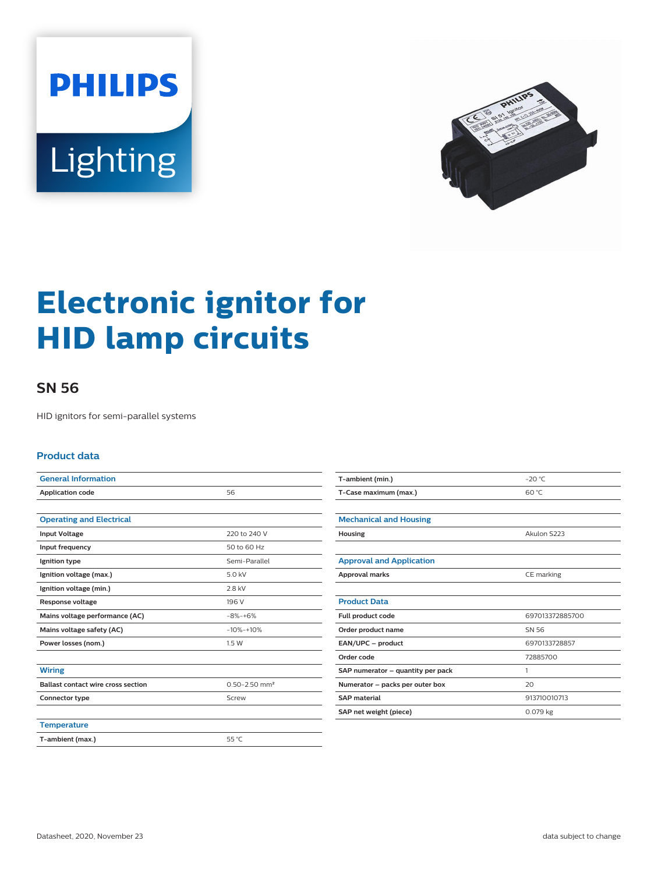



# **Electronic ignitor for HID lamp circuits**

## **SN 56**

HID ignitors for semi-parallel systems

#### **Product data**

| <b>General Information</b>                |                               |
|-------------------------------------------|-------------------------------|
| <b>Application code</b>                   | 56                            |
|                                           |                               |
| <b>Operating and Electrical</b>           |                               |
| <b>Input Voltage</b>                      | 220 to 240 V                  |
| Input frequency                           | 50 to 60 Hz                   |
| Ignition type                             | Semi-Parallel                 |
| Ignition voltage (max.)                   | 5.0 kV                        |
| Ignition voltage (min.)                   | 2.8 kV                        |
| <b>Response voltage</b>                   | 196 V                         |
| Mains voltage performance (AC)            | $-8% -+6%$                    |
| Mains voltage safety (AC)                 | $-10% -10%$                   |
| Power losses (nom.)                       | 1.5W                          |
|                                           |                               |
| <b>Wiring</b>                             |                               |
| <b>Ballast contact wire cross section</b> | $0.50 - 2.50$ mm <sup>2</sup> |
| Connector type                            | Screw                         |
|                                           |                               |
| <b>Temperature</b>                        |                               |
| T-ambient (max.)                          | 55 °C                         |

| T-ambient (min.)                  | $-20$ °C        |
|-----------------------------------|-----------------|
| T-Case maximum (max.)             | 60 °C           |
|                                   |                 |
| <b>Mechanical and Housing</b>     |                 |
| Housing                           | Akulon S223     |
|                                   |                 |
| <b>Approval and Application</b>   |                 |
| <b>Approval marks</b>             | CE marking      |
|                                   |                 |
| <b>Product Data</b>               |                 |
| Full product code                 | 697013372885700 |
| Order product name                | SN 56           |
| EAN/UPC - product                 | 6970133728857   |
| Order code                        | 72885700        |
| SAP numerator - quantity per pack | 1               |
| Numerator - packs per outer box   | 20              |
| <b>SAP</b> material               | 913710010713    |
| SAP net weight (piece)            | 0.079 kg        |
|                                   |                 |